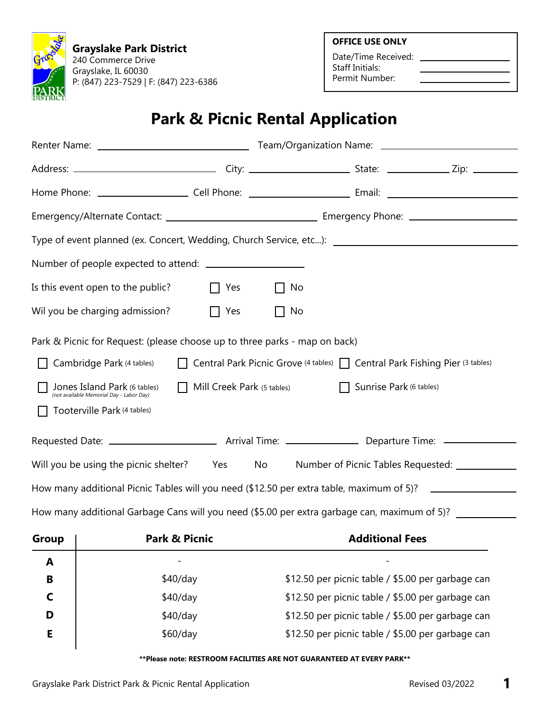**Grayslake Park District** 240 Commerce Drive Grayslake, IL 60030 P: (847) 223-7529 | F: (847) 223-6386 **OFFICE USE ONLY**

Date/Time Received: Staff Initials: Permit Number:

## **Park & Picnic Rental Application**

| Type of event planned (ex. Concert, Wedding, Church Service, etc): \\esp \\esp \\esp \\esp \\esp \\esp \\esp \\esp \\esp \\esp \\esp \\esp \\esp \\esp \\esp \\esp \\esp \\esp \\esp \\esp \\esp \\esp \\esp \\esp \\esp \\                                                                                                                                         |                                              |             |    |                                                  |  |  |  |  |
|---------------------------------------------------------------------------------------------------------------------------------------------------------------------------------------------------------------------------------------------------------------------------------------------------------------------------------------------------------------------|----------------------------------------------|-------------|----|--------------------------------------------------|--|--|--|--|
|                                                                                                                                                                                                                                                                                                                                                                     |                                              |             |    |                                                  |  |  |  |  |
| Is this event open to the public?<br>    Yes<br>    No                                                                                                                                                                                                                                                                                                              |                                              |             |    |                                                  |  |  |  |  |
|                                                                                                                                                                                                                                                                                                                                                                     | Wil you be charging admission?               | $\prod$ Yes | No |                                                  |  |  |  |  |
| Park & Picnic for Request: (please choose up to three parks - map on back)<br>Cambridge Park (4 tables)<br>□ Central Park Picnic Grove (4 tables) □ Central Park Fishing Pier (3 tables)<br>Jones Island Park (6 tables)<br>$\Box$ Mill Creek Park (5 tables)<br>Sunrise Park (6 tables)<br>(not available Memorial Day - Labor Day)<br>Tooterville Park (4 tables) |                                              |             |    |                                                  |  |  |  |  |
|                                                                                                                                                                                                                                                                                                                                                                     |                                              |             |    |                                                  |  |  |  |  |
|                                                                                                                                                                                                                                                                                                                                                                     | Will you be using the picnic shelter? Yes No |             |    | Number of Picnic Tables Requested: _____________ |  |  |  |  |
| How many additional Picnic Tables will you need (\$12.50 per extra table, maximum of 5)? __________________                                                                                                                                                                                                                                                         |                                              |             |    |                                                  |  |  |  |  |
| How many additional Garbage Cans will you need (\$5.00 per extra garbage can, maximum of 5)?                                                                                                                                                                                                                                                                        |                                              |             |    |                                                  |  |  |  |  |
| Group                                                                                                                                                                                                                                                                                                                                                               | <b>Park &amp; Picnic</b>                     |             |    | <b>Additional Fees</b>                           |  |  |  |  |

| A |            |                                                   |
|---|------------|---------------------------------------------------|
| B | $$40$ /day | \$12.50 per picnic table / \$5.00 per garbage can |
|   | $$40$ /day | \$12.50 per picnic table / \$5.00 per garbage can |
| D | $$40$ /day | \$12.50 per picnic table / \$5.00 per garbage can |
|   | \$60/day   | \$12.50 per picnic table / \$5.00 per garbage can |
|   |            |                                                   |

**\*\*Please note: RESTROOM FACILITIES ARE NOT GUARANTEED AT EVERY PARK\*\***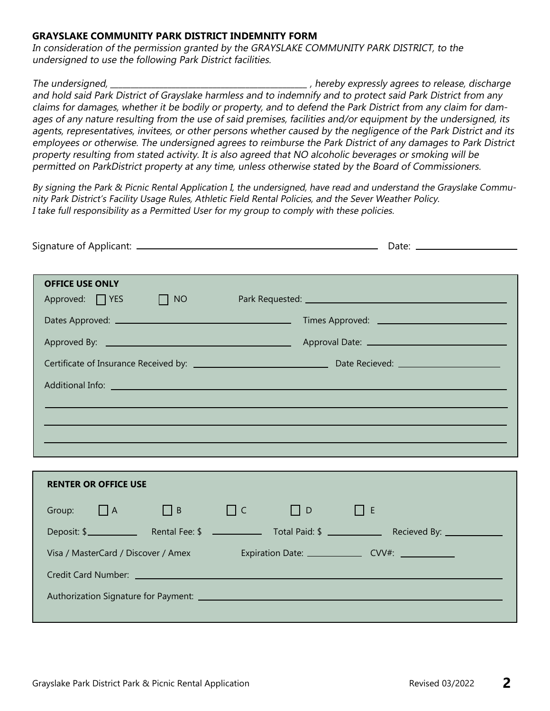### **GRAYSLAKE COMMUNITY PARK DISTRICT INDEMNITY FORM**

In consideration of the permission granted by the GRAYSLAKE COMMUNITY PARK DISTRICT, to the undersigned to use the following Park District facilities.

The undersigned, the undersigned, the state of the state of the state of the state of the state of the state of the state of the state of the state of the state of the state of the state of the state of the state of the st and hold said Park District of Grayslake harmless and to indemnify and to protect said Park District from any claims for damages, whether it be bodily or property, and to defend the Park District from any claim for damages of any nature resulting from the use of said premises, facilities and/or equipment by the undersigned, its agents, representatives, invitees, or other persons whether caused by the negligence of the Park District and its employees or otherwise. The undersigned agrees to reimburse the Park District of any damages to Park District property resulting from stated activity. It is also agreed that NO alcoholic beverages or smoking will be permitted on ParkDistrict property at any time, unless otherwise stated by the Board of Commissioners.

By signing the Park & Picnic Rental Application I, the undersigned, have read and understand the Grayslake Community Park District's Facility Usage Rules, Athletic Field Rental Policies, and the Sever Weather Policy. I take full responsibility as a Permitted User for my group to comply with these policies.

| <b>OFFICE USE ONLY</b>               |  |          |                   |                                                        |             |  |  |
|--------------------------------------|--|----------|-------------------|--------------------------------------------------------|-------------|--|--|
| Approved: $\Box$ YES $\Box$ NO       |  |          |                   |                                                        |             |  |  |
|                                      |  |          |                   |                                                        |             |  |  |
|                                      |  |          |                   |                                                        |             |  |  |
|                                      |  |          |                   |                                                        |             |  |  |
|                                      |  |          |                   |                                                        |             |  |  |
|                                      |  |          |                   |                                                        |             |  |  |
|                                      |  |          |                   |                                                        |             |  |  |
|                                      |  |          |                   |                                                        |             |  |  |
|                                      |  |          |                   |                                                        |             |  |  |
| <b>RENTER OR OFFICE USE</b>          |  |          |                   |                                                        |             |  |  |
| Group: $\Box A$ $\Box B$             |  | $\Box$ C | $\Box$ D $\Box$ E |                                                        |             |  |  |
|                                      |  |          |                   |                                                        |             |  |  |
|                                      |  |          |                   |                                                        | Deposit: \$ |  |  |
| Visa / MasterCard / Discover / Amex  |  |          |                   | Expiration Date: __________________ CVV#: ____________ |             |  |  |
|                                      |  |          |                   |                                                        |             |  |  |
| Authorization Signature for Payment: |  |          |                   |                                                        |             |  |  |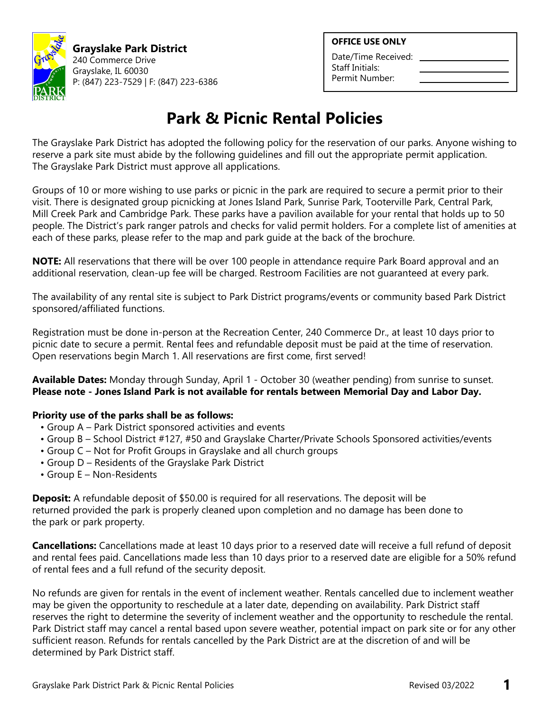

**Grayslake Park District** 240 Commerce Drive Grayslake, IL 60030 P: (847) 223-7529 | F: (847) 223-6386

#### **OFFICE USE ONLY**

Date/Time Received: Staff Initials: Permit Number:

# **Park & Picnic Rental Policies**

The Grayslake Park District has adopted the following policy for the reservation of our parks. Anyone wishing to reserve a park site must abide by the following guidelines and fill out the appropriate permit application. The Grayslake Park District must approve all applications.

Groups of 10 or more wishing to use parks or picnic in the park are required to secure a permit prior to their visit. There is designated group picnicking at Jones Island Park, Sunrise Park, Tooterville Park, Central Park, Mill Creek Park and Cambridge Park. These parks have a pavilion available for your rental that holds up to 50 people. The District's park ranger patrols and checks for valid permit holders. For a complete list of amenities at each of these parks, please refer to the map and park guide at the back of the brochure.

**NOTE:** All reservations that there will be over 100 people in attendance require Park Board approval and an additional reservation, clean-up fee will be charged. Restroom Facilities are not guaranteed at every park.

The availability of any rental site is subject to Park District programs/events or community based Park District sponsored/affiliated functions.

Registration must be done in-person at the Recreation Center, 240 Commerce Dr., at least 10 days prior to picnic date to secure a permit. Rental fees and refundable deposit must be paid at the time of reservation. Open reservations begin March 1. All reservations are first come, first served!

**Available Dates:** Monday through Sunday, April 1 - October 30 (weather pending) from sunrise to sunset. **Please note - Jones Island Park is not available for rentals between Memorial Day and Labor Day.**

### **Priority use of the parks shall be as follows:**

- Group A Park District sponsored activities and events
- Group B School District #127, #50 and Grayslake Charter/Private Schools Sponsored activities/events
- Group C Not for Profit Groups in Grayslake and all church groups
- Group D Residents of the Grayslake Park District
- Group E Non-Residents

**Deposit:** A refundable deposit of \$50.00 is required for all reservations. The deposit will be returned provided the park is properly cleaned upon completion and no damage has been done to the park or park property.

**Cancellations:** Cancellations made at least 10 days prior to a reserved date will receive a full refund of deposit and rental fees paid. Cancellations made less than 10 days prior to a reserved date are eligible for a 50% refund of rental fees and a full refund of the security deposit.

No refunds are given for rentals in the event of inclement weather. Rentals cancelled due to inclement weather may be given the opportunity to reschedule at a later date, depending on availability. Park District staff reserves the right to determine the severity of inclement weather and the opportunity to reschedule the rental. Park District staff may cancel a rental based upon severe weather, potential impact on park site or for any other sufficient reason. Refunds for rentals cancelled by the Park District are at the discretion of and will be determined by Park District staff.